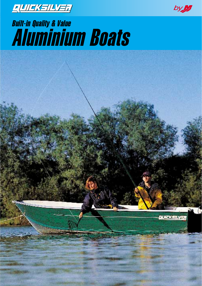



# Built-in Quality & Value Aluminium Boats

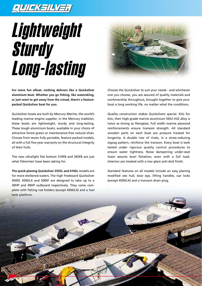#### $E[1][1]/2]$

# Lightweight Sturdy Long-lasting



**For more fun afloat, nothing delivers like a Quicksilver aluminium boat. Whether you go fishing, like waterskiing, or just want to get away from the crowd, there's a featurepacked Quicksilver boat for you.**

Quicksilver boats are built by Mercury Marine, the world's leading marine engine supplier. In the Mercury tradition, these boats are lightweight, sturdy and long-lasting. These tough aluminium boats, available in your choice of attractive forest green or maintenance-free natural silver. Choose from seven fully portable, feature packed models, all with a full five-year warranty on the structural integrity of their hulls.

The new ultralight flat bottom 310FB and 365FB are just what fishermen have been asking for.

**The quick-planing Quicksilver 355SL and 410SL** models are for more sheltered waters. The high freeboard Quicksilver 450SF, 450DLX and 500SF are designed to take up to a 30HP and 40HP outboard respectively. They come complete with fishing rod holders (except 450DLX) and a fuel tank platform.

Choose the Quicksilver to suit your needs - and whichever one you choose, you are assured of quality materials and workmanship throughout, brought together to give your boat a long working life, no matter what the conditions.

Quality construction makes Quicksilvers special. Kilo for kilo, their high-grade marine aluminium 5052 H32 alloy is twice as strong as fibreglass. Full width marine plywood reinforcements ensure transom strength. All standard wooden parts on each boat are pressure treated for longevity. A double row of rivets, in a stress-reducing zigzag pattern, reinforce the transom. Every boat is tank tested under rigorous quality control procedures to ensure water tightness. Noise dampening under-seat foam assures level flotation, even with a full load. Interiors are treated with a low glare anti-skid finish.

Standard features on all models include an easy planing modified vee hull, bow eye, lifting handles, oar locks (except 450DLX) and a transom drain plug.

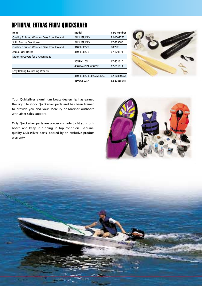#### OPTIONAL EXTRAS FROM QUICKSILVER

| ltem                                      | Model                   | <b>Part Number</b> |  |
|-------------------------------------------|-------------------------|--------------------|--|
| Quality Finished Wooden Oars from Finland | All SL/SF/DLX           | E00007270          |  |
| Solid Bronze Oar Horns                    | All SL/SF/DLX           | 67-829580          |  |
| Quality Finished Wooden Oars from Finland | 310FB/365FB             | 885993             |  |
| Zamak Oar Horns                           | 310FB/365FB             | 67-829671          |  |
| Mooring Covers for a Clean Boat           |                         |                    |  |
|                                           | 355SL/410SL             | 67-851610          |  |
|                                           | 450SF/450DLX/500SF      | 67-851611          |  |
| Easy Rolling Launching Wheels             |                         |                    |  |
|                                           | 310FB/365FB/355SL/410SL | 62-808606A1        |  |
|                                           | 450SF/500SF             | 62-808659A1        |  |



Your Quicksilver aluminium boats dealership has earned the right to stock Quicksilver parts and has been trained to provide you and your Mercury or Mariner outboard with after-sales support.

Only Quicksilver parts are precision-made to fit your outboard and keep it running in top condition. Genuine, quality Quicksilver parts, backed by an exclusive product warranty.



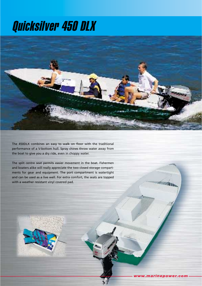## Quicksilver 450 DLX



The 450DLX combines an easy to walk on floor with the traditional performance of a V-bottom hull. Spray chines throw water away from the boat to give you a dry ride, even in choppy water.

The split centre seat permits easier movement in the boat. Fishermen and boaters alike will really appreciate the two closed storage compartments for gear and equipment. The port compartment is watertight and can be used as a live well. For extra comfort, the seats are topped with a weather resistant vinyl covered pad.

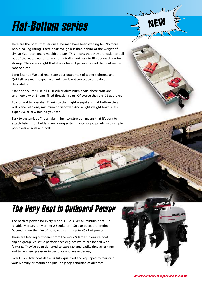# Flat-Bottom series

Here are the boats that serious fishermen have been waiting for. No more backbreaking lifting: These boats weigh less than a third of the weight of similar size rotationally moulded boats. This means that they are easier to pull out of the water, easier to load on a trailer and easy to flip upside down for storage. They are so light that it only takes 1 person to load the boat on the roof of a car.

Long lasting : Welded seams are your guarantee of water-tightness and Quicksilver's marine quality aluminium is not subject to ultraviolet degradation.

Safe and secure : Like all Quicksilver aluminium boats, these craft are unsinkable with 3 foam-filled flotation seats. Of course they are CE approved.

Economical to operate : Thanks to their light weight and flat bottom they will plane with only minimum horsepower. And a light weight boat is less expensive to tow behind your car.

Easy to customize : The all aluminium construction means that it's easy to attach fishing rod holders, anchoring systems, accessory clips, etc. with simple pop-rivets or nuts and bolts.

### The Very Best in Outboard Power

**CENTRAL ADAM** 

The perfect power for every model Quicksilver aluminium boat is a reliable Mercury or Mariner 2-Stroke or 4-Stroke outboard engine. Depending on the size of boat, you can fit up to 40HP of power.

These are leading outboards from the world's largest pleasure boat engine group. Versatile performance engines which are loaded with features. They've been designed to start fast and easily, time after time and to be sheer pleasure to use once you are underway.

Each Quicksilver boat dealer is fully qualified and equipped to maintain your Mercury or Mariner engine in tip-top condition at all times.



**MORRY** 

**NEW**